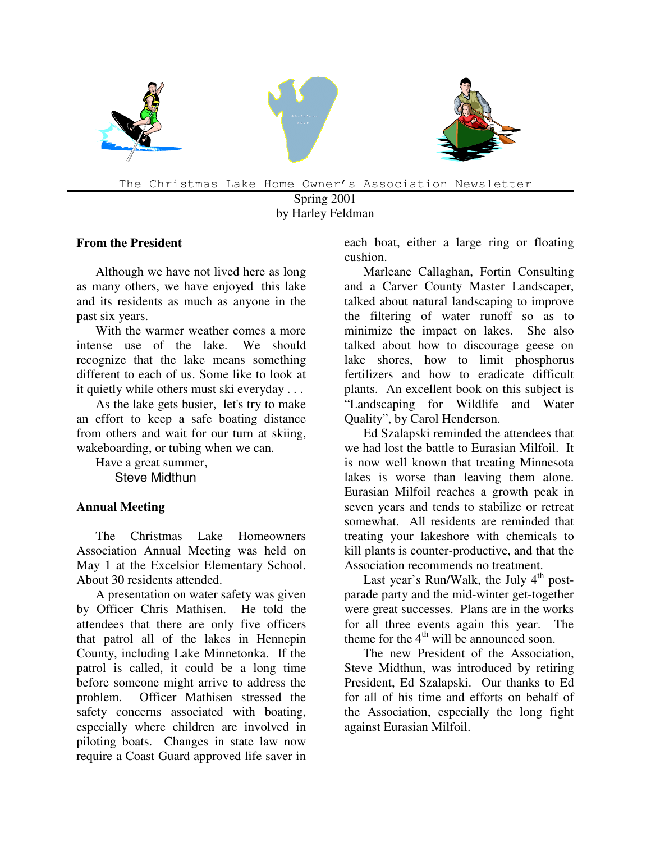

The Christmas Lake Home Owner's Association Newsletter

Spring 2001 by Harley Feldman

## **From the President**

Although we have not lived here as long as many others, we have enjoyed this lake and its residents as much as anyone in the past six years.

With the warmer weather comes a more intense use of the lake. We should recognize that the lake means something different to each of us. Some like to look at it quietly while others must ski everyday . . .

As the lake gets busier, let's try to make an effort to keep a safe boating distance from others and wait for our turn at skiing, wakeboarding, or tubing when we can.

Have a great summer, Steve Midthun

## **Annual Meeting**

The Christmas Lake Homeowners Association Annual Meeting was held on May 1 at the Excelsior Elementary School. About 30 residents attended.

A presentation on water safety was given by Officer Chris Mathisen. He told the attendees that there are only five officers that patrol all of the lakes in Hennepin County, including Lake Minnetonka. If the patrol is called, it could be a long time before someone might arrive to address the problem. Officer Mathisen stressed the safety concerns associated with boating, especially where children are involved in piloting boats. Changes in state law now require a Coast Guard approved life saver in each boat, either a large ring or floating cushion.

Marleane Callaghan, Fortin Consulting and a Carver County Master Landscaper, talked about natural landscaping to improve the filtering of water runoff so as to minimize the impact on lakes. She also talked about how to discourage geese on lake shores, how to limit phosphorus fertilizers and how to eradicate difficult plants. An excellent book on this subject is "Landscaping for Wildlife and Water Quality", by Carol Henderson.

Ed Szalapski reminded the attendees that we had lost the battle to Eurasian Milfoil. It is now well known that treating Minnesota lakes is worse than leaving them alone. Eurasian Milfoil reaches a growth peak in seven years and tends to stabilize or retreat somewhat. All residents are reminded that treating your lakeshore with chemicals to kill plants is counter-productive, and that the Association recommends no treatment.

Last year's Run/Walk, the July 4<sup>th</sup> postparade party and the mid-winter get-together were great successes. Plans are in the works for all three events again this year. The theme for the  $4<sup>th</sup>$  will be announced soon.

The new President of the Association, Steve Midthun, was introduced by retiring President, Ed Szalapski. Our thanks to Ed for all of his time and efforts on behalf of the Association, especially the long fight against Eurasian Milfoil.